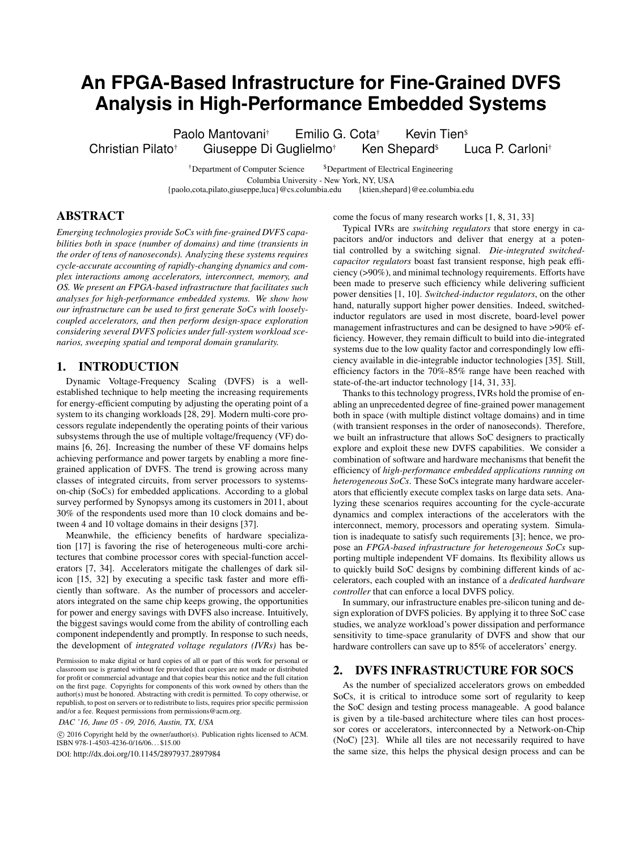# **An FPGA-Based Infrastructure for Fine-Grained DVFS Analysis in High-Performance Embedded Systems**

Paolo Mantovani<sup>†</sup> Emilio G. Cota<sup>†</sup> Kevin Tien<sup>s</sup> Christian Pilato† Giuseppe Di Guglielmo† Ken Shepard\$ Luca P. Carloni†

> <sup>†</sup>Department of Computer Science <sup>\$</sup>Department of Electrical Engineering Columbia University - New York, NY, USA<br>
> ppe.luca { @cs.columbia.edu { ktien, shepard } @ee.columbia.edu {paolo,cota,pilato,giuseppe,luca}@cs.columbia.edu {ktien,shepard}@ee.columbia.edu

# ABSTRACT

*Emerging technologies provide SoCs with fine-grained DVFS capabilities both in space (number of domains) and time (transients in the order of tens of nanoseconds). Analyzing these systems requires cycle-accurate accounting of rapidly-changing dynamics and complex interactions among accelerators, interconnect, memory, and OS. We present an FPGA-based infrastructure that facilitates such analyses for high-performance embedded systems. We show how our infrastructure can be used to first generate SoCs with looselycoupled accelerators, and then perform design-space exploration considering several DVFS policies under full-system workload scenarios, sweeping spatial and temporal domain granularity.*

### 1. INTRODUCTION

Dynamic Voltage-Frequency Scaling (DVFS) is a wellestablished technique to help meeting the increasing requirements for energy-efficient computing by adjusting the operating point of a system to its changing workloads [28, 29]. Modern multi-core processors regulate independently the operating points of their various subsystems through the use of multiple voltage/frequency (VF) domains [6, 26]. Increasing the number of these VF domains helps achieving performance and power targets by enabling a more finegrained application of DVFS. The trend is growing across many classes of integrated circuits, from server processors to systemson-chip (SoCs) for embedded applications. According to a global survey performed by Synopsys among its customers in 2011, about 30% of the respondents used more than 10 clock domains and between 4 and 10 voltage domains in their designs [37].

Meanwhile, the efficiency benefits of hardware specialization [17] is favoring the rise of heterogeneous multi-core architectures that combine processor cores with special-function accelerators [7, 34]. Accelerators mitigate the challenges of dark silicon [15, 32] by executing a specific task faster and more efficiently than software. As the number of processors and accelerators integrated on the same chip keeps growing, the opportunities for power and energy savings with DVFS also increase. Intuitively, the biggest savings would come from the ability of controlling each component independently and promptly. In response to such needs, the development of *integrated voltage regulators (IVRs)* has be-

Permission to make digital or hard copies of all or part of this work for personal or classroom use is granted without fee provided that copies are not made or distributed for profit or commercial advantage and that copies bear this notice and the full citation on the first page. Copyrights for components of this work owned by others than the author(s) must be honored. Abstracting with credit is permitted. To copy otherwise, or republish, to post on servers or to redistribute to lists, requires prior specific permission and/or a fee. Request permissions from permissions@acm.org.

 $\circ$  2016 Copyright held by the owner/author(s). Publication rights licensed to ACM. ISBN 978-1-4503-4236-0/16/06. . . \$15.00

DOI: http://dx.doi.org/10.1145/2897937.2897984

come the focus of many research works [1, 8, 31, 33]

Typical IVRs are *switching regulators* that store energy in capacitors and/or inductors and deliver that energy at a potential controlled by a switching signal. *Die-integrated switchedcapacitor regulators* boast fast transient response, high peak efficiency (>90%), and minimal technology requirements. Efforts have been made to preserve such efficiency while delivering sufficient power densities [1, 10]. *Switched-inductor regulators*, on the other hand, naturally support higher power densities. Indeed, switchedinductor regulators are used in most discrete, board-level power management infrastructures and can be designed to have >90% efficiency. However, they remain difficult to build into die-integrated systems due to the low quality factor and correspondingly low efficiency available in die-integrable inductor technologies [35]. Still, efficiency factors in the 70%-85% range have been reached with state-of-the-art inductor technology [14, 31, 33].

Thanks to this technology progress, IVRs hold the promise of enabling an unprecedented degree of fine-grained power management both in space (with multiple distinct voltage domains) and in time (with transient responses in the order of nanoseconds). Therefore, we built an infrastructure that allows SoC designers to practically explore and exploit these new DVFS capabilities. We consider a combination of software and hardware mechanisms that benefit the efficiency of *high-performance embedded applications running on heterogeneous SoCs*. These SoCs integrate many hardware accelerators that efficiently execute complex tasks on large data sets. Analyzing these scenarios requires accounting for the cycle-accurate dynamics and complex interactions of the accelerators with the interconnect, memory, processors and operating system. Simulation is inadequate to satisfy such requirements [3]; hence, we propose an *FPGA-based infrastructure for heterogeneous SoCs* supporting multiple independent VF domains. Its flexibility allows us to quickly build SoC designs by combining different kinds of accelerators, each coupled with an instance of a *dedicated hardware controller* that can enforce a local DVFS policy.

In summary, our infrastructure enables pre-silicon tuning and design exploration of DVFS policies. By applying it to three SoC case studies, we analyze workload's power dissipation and performance sensitivity to time-space granularity of DVFS and show that our hardware controllers can save up to 85% of accelerators' energy.

## 2. DVFS INFRASTRUCTURE FOR SOCS

As the number of specialized accelerators grows on embedded SoCs, it is critical to introduce some sort of regularity to keep the SoC design and testing process manageable. A good balance is given by a tile-based architecture where tiles can host processor cores or accelerators, interconnected by a Network-on-Chip (NoC) [23]. While all tiles are not necessarily required to have the same size, this helps the physical design process and can be

*DAC '16, June 05 - 09, 2016, Austin, TX, USA*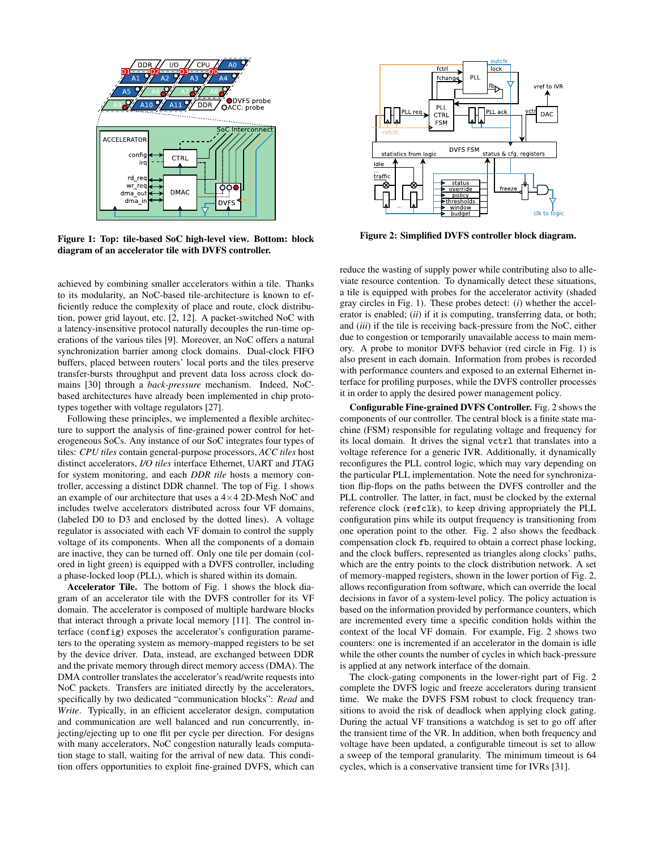

Figure 1: Top: tile-based SoC high-level view. Bottom: block diagram of an accelerator tile with DVFS controller.

achieved by combining smaller accelerators within a tile. Thanks to its modularity, an NoC-based tile-architecture is known to efficiently reduce the complexity of place and route, clock distribution, power grid layout, etc. [2, 12]. A packet-switched NoC with a latency-insensitive protocol naturally decouples the run-time operations of the various tiles [9]. Moreover, an NoC offers a natural synchronization barrier among clock domains. Dual-clock FIFO buffers, placed between routers' local ports and the tiles preserve transfer-bursts throughput and prevent data loss across clock domains [30] through a *back-pressure* mechanism. Indeed, NoCbased architectures have already been implemented in chip prototypes together with voltage regulators [27].

Following these principles, we implemented a flexible architecture to support the analysis of fine-grained power control for heterogeneous SoCs. Any instance of our SoC integrates four types of tiles: *CPU tiles* contain general-purpose processors, *ACC tiles* host distinct accelerators, *I/O tiles* interface Ethernet, UART and JTAG for system monitoring, and each *DDR tile* hosts a memory controller, accessing a distinct DDR channel. The top of Fig. 1 shows an example of our architecture that uses a  $4\times4$  2D-Mesh NoC and includes twelve accelerators distributed across four VF domains, (labeled D0 to D3 and enclosed by the dotted lines). A voltage regulator is associated with each VF domain to control the supply voltage of its components. When all the components of a domain are inactive, they can be turned off. Only one tile per domain (colored in light green) is equipped with a DVFS controller, including a phase-locked loop (PLL), which is shared within its domain.

Accelerator Tile. The bottom of Fig. 1 shows the block diagram of an accelerator tile with the DVFS controller for its VF domain. The accelerator is composed of multiple hardware blocks that interact through a private local memory [11]. The control interface (config) exposes the accelerator's configuration parameters to the operating system as memory-mapped registers to be set by the device driver. Data, instead, are exchanged between DDR and the private memory through direct memory access (DMA). The DMA controller translates the accelerator's read/write requests into NoC packets. Transfers are initiated directly by the accelerators, specifically by two dedicated "communication blocks": *Read* and *Write*. Typically, in an efficient accelerator design, computation and communication are well balanced and run concurrently, injecting/ejecting up to one flit per cycle per direction. For designs with many accelerators, NoC congestion naturally leads computation stage to stall, waiting for the arrival of new data. This condition offers opportunities to exploit fine-grained DVFS, which can



Figure 2: Simplified DVFS controller block diagram.

reduce the wasting of supply power while contributing also to alleviate resource contention. To dynamically detect these situations, a tile is equipped with probes for the accelerator activity (shaded gray circles in Fig. 1). These probes detect: (*i*) whether the accelerator is enabled; (*ii*) if it is computing, transferring data, or both; and (*iii*) if the tile is receiving back-pressure from the NoC, either due to congestion or temporarily unavailable access to main memory. A probe to monitor DVFS behavior (red circle in Fig. 1) is also present in each domain. Information from probes is recorded with performance counters and exposed to an external Ethernet interface for profiling purposes, while the DVFS controller processes it in order to apply the desired power management policy.

Configurable Fine-grained DVFS Controller. Fig. 2 shows the components of our controller. The central block is a finite state machine (FSM) responsible for regulating voltage and frequency for its local domain. It drives the signal vctrl that translates into a voltage reference for a generic IVR. Additionally, it dynamically reconfigures the PLL control logic, which may vary depending on the particular PLL implementation. Note the need for synchronization flip-flops on the paths between the DVFS controller and the PLL controller. The latter, in fact, must be clocked by the external reference clock (refclk), to keep driving appropriately the PLL configuration pins while its output frequency is transitioning from one operation point to the other. Fig. 2 also shows the feedback compensation clock fb, required to obtain a correct phase locking, and the clock buffers, represented as triangles along clocks' paths, which are the entry points to the clock distribution network. A set of memory-mapped registers, shown in the lower portion of Fig. 2, allows reconfiguration from software, which can override the local decisions in favor of a system-level policy. The policy actuation is based on the information provided by performance counters, which are incremented every time a specific condition holds within the context of the local VF domain. For example, Fig. 2 shows two counters: one is incremented if an accelerator in the domain is idle while the other counts the number of cycles in which back-pressure is applied at any network interface of the domain.

The clock-gating components in the lower-right part of Fig. 2 complete the DVFS logic and freeze accelerators during transient time. We make the DVFS FSM robust to clock frequency transitions to avoid the risk of deadlock when applying clock gating. During the actual VF transitions a watchdog is set to go off after the transient time of the VR. In addition, when both frequency and voltage have been updated, a configurable timeout is set to allow a sweep of the temporal granularity. The minimum timeout is 64 cycles, which is a conservative transient time for IVRs [31].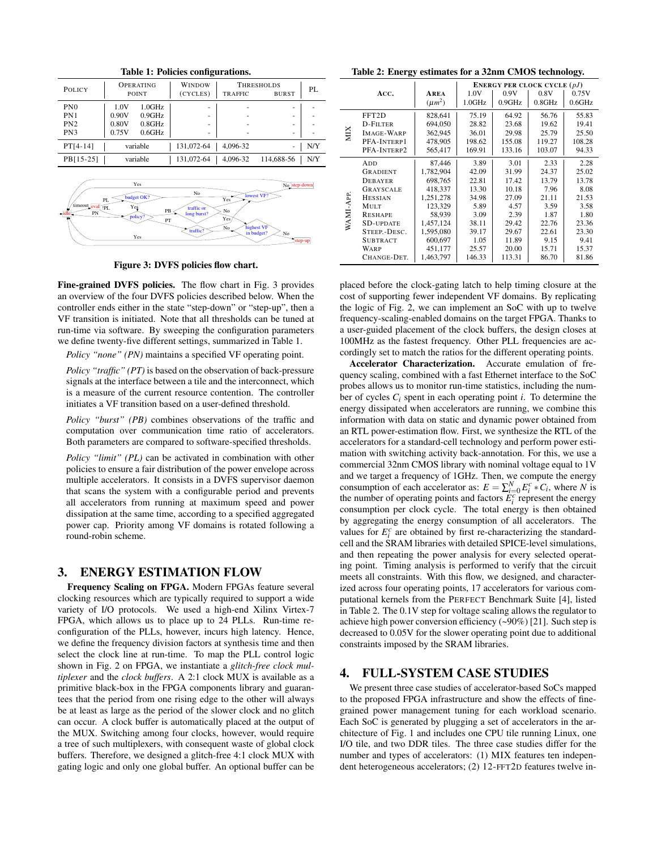| POLICY          | <b>OPERATING</b><br>POINT | WINDOW<br>(CYCLES)<br><b>TRAFFIC</b> | <b>THRESHOLDS</b><br>PI.<br><b>BURST</b> |  |  |  |  |  |  |
|-----------------|---------------------------|--------------------------------------|------------------------------------------|--|--|--|--|--|--|
| PN <sub>0</sub> | 1.0GHz<br>1.0V            | ٠                                    | -                                        |  |  |  |  |  |  |
| PN1             | 0.9GHz<br>0.90V           | ٠                                    | -                                        |  |  |  |  |  |  |
| PN <sub>2</sub> | $0.8$ GHz<br>0.80V        | ٠                                    | -                                        |  |  |  |  |  |  |
| PN3             | 0.6GHz<br>0.75V           | ٠                                    | -                                        |  |  |  |  |  |  |
| $PT[4-14]$      | variable                  | 131,072-64<br>4.096-32               | N/Y<br>-                                 |  |  |  |  |  |  |
| PB[15-25]       | variable                  | 4.096-32<br>131.072-64               | 114,688-56<br>N/Y                        |  |  |  |  |  |  |
|                 |                           |                                      |                                          |  |  |  |  |  |  |

Table 1: Policies configurations.



Figure 3: DVFS policies flow chart.

Fine-grained DVFS policies. The flow chart in Fig. 3 provides an overview of the four DVFS policies described below. When the controller ends either in the state "step-down" or "step-up", then a VF transition is initiated. Note that all thresholds can be tuned at run-time via software. By sweeping the configuration parameters we define twenty-five different settings, summarized in Table 1.

*Policy "none" (PN)* maintains a specified VF operating point.

*Policy "traffic" (PT)* is based on the observation of back-pressure signals at the interface between a tile and the interconnect, which is a measure of the current resource contention. The controller initiates a VF transition based on a user-defined threshold.

*Policy "burst" (PB)* combines observations of the traffic and computation over communication time ratio of accelerators. Both parameters are compared to software-specified thresholds.

*Policy "limit" (PL)* can be activated in combination with other policies to ensure a fair distribution of the power envelope across multiple accelerators. It consists in a DVFS supervisor daemon that scans the system with a configurable period and prevents all accelerators from running at maximum speed and power dissipation at the same time, according to a specified aggregated power cap. Priority among VF domains is rotated following a round-robin scheme.

## 3. ENERGY ESTIMATION FLOW

Frequency Scaling on FPGA. Modern FPGAs feature several clocking resources which are typically required to support a wide variety of I/O protocols. We used a high-end Xilinx Virtex-7 FPGA, which allows us to place up to 24 PLLs. Run-time reconfiguration of the PLLs, however, incurs high latency. Hence, we define the frequency division factors at synthesis time and then select the clock line at run-time. To map the PLL control logic shown in Fig. 2 on FPGA, we instantiate a *glitch-free clock multiplexer* and the *clock buffers*. A 2:1 clock MUX is available as a primitive black-box in the FPGA components library and guarantees that the period from one rising edge to the other will always be at least as large as the period of the slower clock and no glitch can occur. A clock buffer is automatically placed at the output of the MUX. Switching among four clocks, however, would require a tree of such multiplexers, with consequent waste of global clock buffers. Therefore, we designed a glitch-free 4:1 clock MUX with gating logic and only one global buffer. An optional buffer can be

Table 2: Energy estimates for a 32nm CMOS technology.

|           |                   |             | <b>ENERGY PER CLOCK CYCLE</b> $(pJ)$ |        |           |        |  |
|-----------|-------------------|-------------|--------------------------------------|--------|-----------|--------|--|
|           | ACC.              | <b>AREA</b> | 1.0V                                 | 0.9V   | 0.8V      | 0.75V  |  |
|           |                   | $(\mu m^2)$ | 1.0GHz                               | 0.9GHz | $0.8$ GHz | 0.6GHz |  |
| XIIX      | FFT2D             | 828,641     | 75.19                                | 64.92  | 56.76     | 55.83  |  |
|           | D-FILTER          | 694,050     | 28.82                                | 23.68  | 19.62     | 19.41  |  |
|           | <b>IMAGE-WARP</b> | 362,945     | 36.01                                | 29.98  | 25.79     | 25.50  |  |
|           | PFA-INTERP1       | 478,905     | 198.62                               | 155.08 | 119.27    | 108.28 |  |
|           | PFA-INTERP2       | 565,417     | 169.91                               | 133.16 | 103.07    | 94.33  |  |
| WAMI-APP. | ADD               | 87,446      | 3.89                                 | 3.01   | 2.33      | 2.28   |  |
|           | <b>GRADIENT</b>   | 1,782,904   | 42.09                                | 31.99  | 24.37     | 25.02  |  |
|           | DEBAYER           | 698,765     | 22.81                                | 17.42  | 13.79     | 13.78  |  |
|           | GRAYSCALE         | 418,337     | 13.30                                | 10.18  | 7.96      | 8.08   |  |
|           | <b>HESSIAN</b>    | 1,251,278   | 34.98                                | 27.09  | 21.11     | 21.53  |  |
|           | <b>MULT</b>       | 123,329     | 5.89                                 | 4.57   | 3.59      | 3.58   |  |
|           | <b>RESHAPE</b>    | 58,939      | 3.09                                 | 2.39   | 1.87      | 1.80   |  |
|           | <b>SD-UPDATE</b>  | 1,457,124   | 38.11                                | 29.42  | 22.76     | 23.36  |  |
|           | STEEP.-DESC.      | 1,595,080   | 39.17                                | 29.67  | 22.61     | 23.30  |  |
|           | <b>SUBTRACT</b>   | 600,697     | 1.05                                 | 11.89  | 9.15      | 9.41   |  |
|           | WARP              | 451,177     | 25.57                                | 20.00  | 15.71     | 15.37  |  |
|           | CHANGE-DET.       | 1,463,797   | 146.33                               | 113.31 | 86.70     | 81.86  |  |

placed before the clock-gating latch to help timing closure at the cost of supporting fewer independent VF domains. By replicating the logic of Fig. 2, we can implement an SoC with up to twelve frequency-scaling-enabled domains on the target FPGA. Thanks to a user-guided placement of the clock buffers, the design closes at 100MHz as the fastest frequency. Other PLL frequencies are accordingly set to match the ratios for the different operating points.

Accelerator Characterization. Accurate emulation of frequency scaling, combined with a fast Ethernet interface to the SoC probes allows us to monitor run-time statistics, including the number of cycles  $C_i$  spent in each operating point *i*. To determine the energy dissipated when accelerators are running, we combine this information with data on static and dynamic power obtained from an RTL power-estimation flow. First, we synthesize the RTL of the accelerators for a standard-cell technology and perform power estimation with switching activity back-annotation. For this, we use a commercial 32nm CMOS library with nominal voltage equal to 1V and we target a frequency of 1GHz. Then, we compute the energy consumption of each accelerator as:  $E = \sum_{i=0}^{N} E_i^c * C_i$ , where *N* is the number of operating points and factors  $E_i^c$  represent the energy consumption per clock cycle. The total energy is then obtained by aggregating the energy consumption of all accelerators. The values for  $E_i^c$  are obtained by first re-characterizing the standardcell and the SRAM libraries with detailed SPICE-level simulations, and then repeating the power analysis for every selected operating point. Timing analysis is performed to verify that the circuit meets all constraints. With this flow, we designed, and characterized across four operating points, 17 accelerators for various computational kernels from the PERFECT Benchmark Suite [4], listed in Table 2. The 0.1V step for voltage scaling allows the regulator to achieve high power conversion efficiency (~90%) [21]. Such step is decreased to 0.05V for the slower operating point due to additional constraints imposed by the SRAM libraries.

#### 4. FULL-SYSTEM CASE STUDIES

We present three case studies of accelerator-based SoCs mapped to the proposed FPGA infrastructure and show the effects of finegrained power management tuning for each workload scenario. Each SoC is generated by plugging a set of accelerators in the architecture of Fig. 1 and includes one CPU tile running Linux, one I/O tile, and two DDR tiles. The three case studies differ for the number and types of accelerators: (1) MIX features ten independent heterogeneous accelerators; (2) 12-FFT2D features twelve in-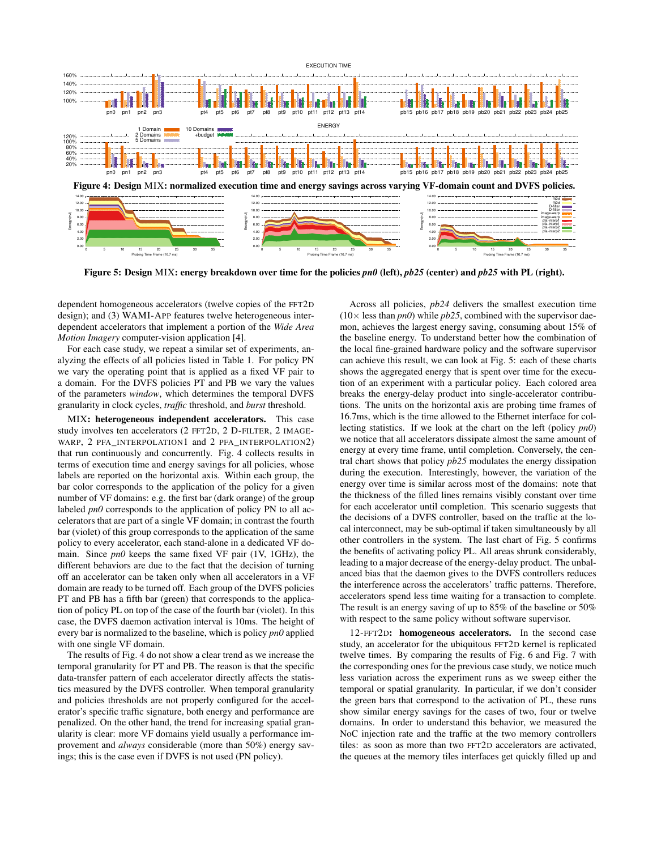

Figure 5: Design MIX: energy breakdown over time for the policies *pn0* (left), *pb25* (center) and *pb25* with PL (right).

dependent homogeneous accelerators (twelve copies of the FFT2D design); and (3) WAMI-APP features twelve heterogeneous interdependent accelerators that implement a portion of the *Wide Area Motion Imagery* computer-vision application [4].

For each case study, we repeat a similar set of experiments, analyzing the effects of all policies listed in Table 1. For policy PN we vary the operating point that is applied as a fixed VF pair to a domain. For the DVFS policies PT and PB we vary the values of the parameters *window*, which determines the temporal DVFS granularity in clock cycles, *traffic* threshold, and *burst* threshold.

MIX: heterogeneous independent accelerators. This case study involves ten accelerators (2 FFT2D, 2 D-FILTER, 2 IMAGE-WARP, 2 PFA\_INTERPOLATION1 and 2 PFA\_INTERPOLATION2) that run continuously and concurrently. Fig. 4 collects results in terms of execution time and energy savings for all policies, whose labels are reported on the horizontal axis. Within each group, the bar color corresponds to the application of the policy for a given number of VF domains: e.g. the first bar (dark orange) of the group labeled *pn0* corresponds to the application of policy PN to all accelerators that are part of a single VF domain; in contrast the fourth bar (violet) of this group corresponds to the application of the same policy to every accelerator, each stand-alone in a dedicated VF domain. Since *pn0* keeps the same fixed VF pair (1V, 1GHz), the different behaviors are due to the fact that the decision of turning off an accelerator can be taken only when all accelerators in a VF domain are ready to be turned off. Each group of the DVFS policies PT and PB has a fifth bar (green) that corresponds to the application of policy PL on top of the case of the fourth bar (violet). In this case, the DVFS daemon activation interval is 10ms. The height of every bar is normalized to the baseline, which is policy *pn0* applied with one single VF domain.

The results of Fig. 4 do not show a clear trend as we increase the temporal granularity for PT and PB. The reason is that the specific data-transfer pattern of each accelerator directly affects the statistics measured by the DVFS controller. When temporal granularity and policies thresholds are not properly configured for the accelerator's specific traffic signature, both energy and performance are penalized. On the other hand, the trend for increasing spatial granularity is clear: more VF domains yield usually a performance improvement and *always* considerable (more than 50%) energy savings; this is the case even if DVFS is not used (PN policy).

Across all policies, *pb24* delivers the smallest execution time  $(10\times$  less than *pn0*) while *pb25*, combined with the supervisor daemon, achieves the largest energy saving, consuming about 15% of the baseline energy. To understand better how the combination of the local fine-grained hardware policy and the software supervisor can achieve this result, we can look at Fig. 5: each of these charts shows the aggregated energy that is spent over time for the execution of an experiment with a particular policy. Each colored area breaks the energy-delay product into single-accelerator contributions. The units on the horizontal axis are probing time frames of 16.7ms, which is the time allowed to the Ethernet interface for collecting statistics. If we look at the chart on the left (policy *pn0*) we notice that all accelerators dissipate almost the same amount of energy at every time frame, until completion. Conversely, the central chart shows that policy *pb25* modulates the energy dissipation during the execution. Interestingly, however, the variation of the energy over time is similar across most of the domains: note that the thickness of the filled lines remains visibly constant over time for each accelerator until completion. This scenario suggests that the decisions of a DVFS controller, based on the traffic at the local interconnect, may be sub-optimal if taken simultaneously by all other controllers in the system. The last chart of Fig. 5 confirms the benefits of activating policy PL. All areas shrunk considerably, leading to a major decrease of the energy-delay product. The unbalanced bias that the daemon gives to the DVFS controllers reduces the interference across the accelerators' traffic patterns. Therefore, accelerators spend less time waiting for a transaction to complete. The result is an energy saving of up to 85% of the baseline or 50% with respect to the same policy without software supervisor.

12-FFT2D: homogeneous accelerators. In the second case study, an accelerator for the ubiquitous FFT2D kernel is replicated twelve times. By comparing the results of Fig. 6 and Fig. 7 with the corresponding ones for the previous case study, we notice much less variation across the experiment runs as we sweep either the temporal or spatial granularity. In particular, if we don't consider the green bars that correspond to the activation of PL, these runs show similar energy savings for the cases of two, four or twelve domains. In order to understand this behavior, we measured the NoC injection rate and the traffic at the two memory controllers tiles: as soon as more than two FFT2D accelerators are activated, the queues at the memory tiles interfaces get quickly filled up and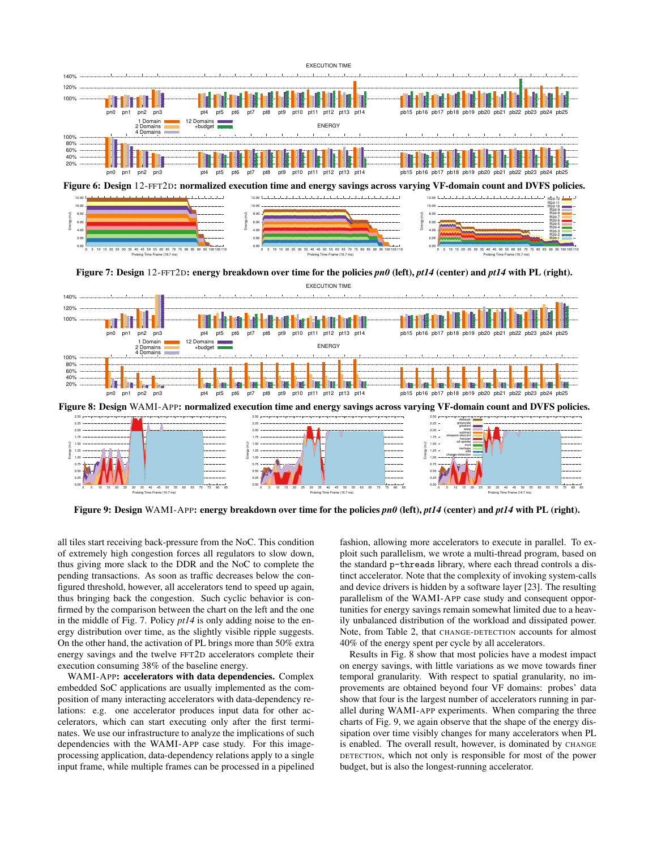

Figure 6: Design 12-FFT2D: normalized execution time and energy savings across varying VF-domain count and DVFS policies.



Figure 7: Design 12-FFT2D: energy breakdown over time for the policies *pn0* (left), *pt14* (center) and *pt14* with PL (right).



Figure 9: Design WAMI-APP: energy breakdown over time for the policies *pn0* (left), *pt14* (center) and *pt14* with PL (right).

all tiles start receiving back-pressure from the NoC. This condition of extremely high congestion forces all regulators to slow down, thus giving more slack to the DDR and the NoC to complete the pending transactions. As soon as traffic decreases below the configured threshold, however, all accelerators tend to speed up again, thus bringing back the congestion. Such cyclic behavior is confirmed by the comparison between the chart on the left and the one in the middle of Fig. 7. Policy *pt14* is only adding noise to the energy distribution over time, as the slightly visible ripple suggests. On the other hand, the activation of PL brings more than 50% extra energy savings and the twelve FFT2D accelerators complete their execution consuming 38% of the baseline energy.

WAMI-APP: accelerators with data dependencies. Complex embedded SoC applications are usually implemented as the composition of many interacting accelerators with data-dependency relations: e.g. one accelerator produces input data for other accelerators, which can start executing only after the first terminates. We use our infrastructure to analyze the implications of such dependencies with the WAMI-APP case study. For this imageprocessing application, data-dependency relations apply to a single input frame, while multiple frames can be processed in a pipelined fashion, allowing more accelerators to execute in parallel. To exploit such parallelism, we wrote a multi-thread program, based on the standard p-threads library, where each thread controls a distinct accelerator. Note that the complexity of invoking system-calls and device drivers is hidden by a software layer [23]. The resulting parallelism of the WAMI-APP case study and consequent opportunities for energy savings remain somewhat limited due to a heavily unbalanced distribution of the workload and dissipated power. Note, from Table 2, that CHANGE-DETECTION accounts for almost 40% of the energy spent per cycle by all accelerators.

Results in Fig. 8 show that most policies have a modest impact on energy savings, with little variations as we move towards finer temporal granularity. With respect to spatial granularity, no improvements are obtained beyond four VF domains: probes' data show that four is the largest number of accelerators running in parallel during WAMI-APP experiments. When comparing the three charts of Fig. 9, we again observe that the shape of the energy dissipation over time visibly changes for many accelerators when PL is enabled. The overall result, however, is dominated by CHANGE DETECTION, which not only is responsible for most of the power budget, but is also the longest-running accelerator.